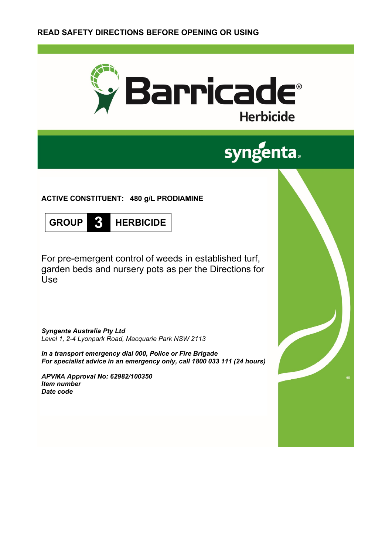

# **syngenta**

**ACTIVE CONSTITUENT: 480 g/L PRODIAMINE**



For pre-emergent control of weeds in established turf, garden beds and nursery pots as per the Directions for Use

*Syngenta Australia Pty Ltd Level 1, 2-4 Lyonpark Road, Macquarie Park NSW 2113*

*In a transport emergency dial 000, Police or Fire Brigade For specialist advice in an emergency only, call 1800 033 111 (24 hours)*

*APVMA Approval No: 62982/100350 Item number Date code*

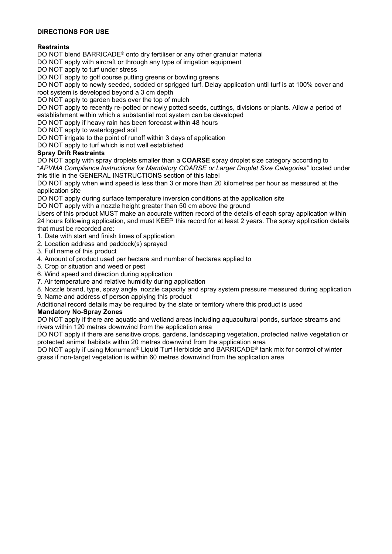## **DIRECTIONS FOR USE**

# **Restraints**

DO NOT blend BARRICADE® onto dry fertiliser or any other granular material

DO NOT apply with aircraft or through any type of irrigation equipment

DO NOT apply to turf under stress

DO NOT apply to golf course putting greens or bowling greens

DO NOT apply to newly seeded, sodded or sprigged turf. Delay application until turf is at 100% cover and root system is developed beyond a 3 cm depth

DO NOT apply to garden beds over the top of mulch

DO NOT apply to recently re-potted or newly potted seeds, cuttings, divisions or plants. Allow a period of establishment within which a substantial root system can be developed

DO NOT apply if heavy rain has been forecast within 48 hours

DO NOT apply to waterlogged soil

DO NOT irrigate to the point of runoff within 3 days of application

DO NOT apply to turf which is not well established

## **Spray Drift Restraints**

DO NOT apply with spray droplets smaller than a **COARSE** spray droplet size category according to "*APVMA Compliance Instructions for Mandatory COARSE or Larger Droplet Size Categories"* located under this title in the GENERAL INSTRUCTIONS section of this label

DO NOT apply when wind speed is less than 3 or more than 20 kilometres per hour as measured at the application site

DO NOT apply during surface temperature inversion conditions at the application site

DO NOT apply with a nozzle height greater than 50 cm above the ground

Users of this product MUST make an accurate written record of the details of each spray application within 24 hours following application, and must KEEP this record for at least 2 years. The spray application details that must be recorded are:

1. Date with start and finish times of application

- 2. Location address and paddock(s) sprayed
- 3. Full name of this product
- 4. Amount of product used per hectare and number of hectares applied to
- 5. Crop or situation and weed or pest
- 6. Wind speed and direction during application
- 7. Air temperature and relative humidity during application
- 8. Nozzle brand, type, spray angle, nozzle capacity and spray system pressure measured during application
- 9. Name and address of person applying this product

Additional record details may be required by the state or territory where this product is used

#### **Mandatory No-Spray Zones**

DO NOT apply if there are aquatic and wetland areas including aquacultural ponds, surface streams and rivers within 120 metres downwind from the application area

DO NOT apply if there are sensitive crops, gardens, landscaping vegetation, protected native vegetation or protected animal habitats within 20 metres downwind from the application area

DO NOT apply if using Monument® Liquid Turf Herbicide and BARRICADE® tank mix for control of winter grass if non-target vegetation is within 60 metres downwind from the application area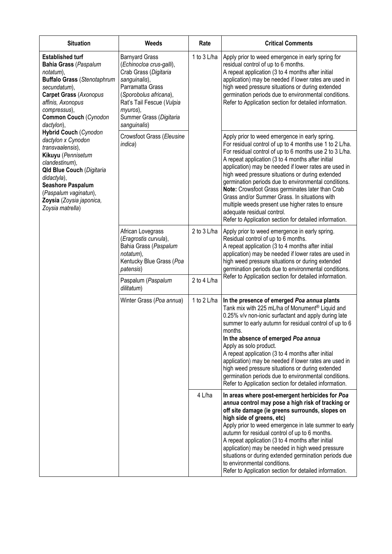| <b>Situation</b>                                                                                                                                                                                                                                                                                                                                                                                                                                                                                                         | <b>Weeds</b>                                                                                                                                                                                                                  | Rate        | <b>Critical Comments</b>                                                                                                                                                                                                                                                                                                                                                                                                                                                                                                                                                                                                                         |  |
|--------------------------------------------------------------------------------------------------------------------------------------------------------------------------------------------------------------------------------------------------------------------------------------------------------------------------------------------------------------------------------------------------------------------------------------------------------------------------------------------------------------------------|-------------------------------------------------------------------------------------------------------------------------------------------------------------------------------------------------------------------------------|-------------|--------------------------------------------------------------------------------------------------------------------------------------------------------------------------------------------------------------------------------------------------------------------------------------------------------------------------------------------------------------------------------------------------------------------------------------------------------------------------------------------------------------------------------------------------------------------------------------------------------------------------------------------------|--|
| <b>Established turf</b><br><b>Bahia Grass (Paspalum</b><br>notatum),<br><b>Buffalo Grass (Stenotaphrum</b><br>secundatum),<br><b>Carpet Grass (Axonopus</b><br>affinis, Axonopus<br>compressus),<br><b>Common Couch (Cynodon</b><br>dactylon),<br><b>Hybrid Couch (Cynodon</b><br>dactylon x Cynodon<br>transvaalensis),<br>Kikuyu (Pennisetum<br>clandestinum),<br><b>Qld Blue Couch (Digitaria</b><br>didactyla),<br><b>Seashore Paspalum</b><br>(Paspalum vaginatun),<br>Zoysia (Zoysia japonica,<br>Zoysia matrella) | <b>Barnyard Grass</b><br>(Echinocloa crus-galli),<br>Crab Grass (Digitaria<br>sanguinalis),<br>Parramatta Grass<br>(Sporobolus africana),<br>Rat's Tail Fescue (Vulpia<br>myuros),<br>Summer Grass (Digitaria<br>sanguinalis) | 1 to 3 L/ha | Apply prior to weed emergence in early spring for<br>residual control of up to 6 months.<br>A repeat application (3 to 4 months after initial<br>application) may be needed if lower rates are used in<br>high weed pressure situations or during extended<br>germination periods due to environmental conditions.<br>Refer to Application section for detailed information.                                                                                                                                                                                                                                                                     |  |
|                                                                                                                                                                                                                                                                                                                                                                                                                                                                                                                          | Crowsfoot Grass (Eleusine<br>indica)                                                                                                                                                                                          |             | Apply prior to weed emergence in early spring.<br>For residual control of up to 4 months use 1 to 2 L/ha.<br>For residual control of up to 6 months use 2 to 3 L/ha.<br>A repeat application (3 to 4 months after initial<br>application) may be needed if lower rates are used in<br>high weed pressure situations or during extended<br>germination periods due to environmental conditions.<br>Note: Crowsfoot Grass germinates later than Crab<br>Grass and/or Summer Grass. In situations with<br>multiple weeds present use higher rates to ensure<br>adequate residual control.<br>Refer to Application section for detailed information. |  |
|                                                                                                                                                                                                                                                                                                                                                                                                                                                                                                                          | African Lovegrass<br>(Eragrostis curvula),<br>Bahia Grass (Paspalum<br>notatum),<br>Kentucky Blue Grass (Poa<br>patensis)                                                                                                     | 2 to 3 L/ha | Apply prior to weed emergence in early spring.<br>Residual control of up to 6 months.<br>A repeat application (3 to 4 months after initial<br>application) may be needed if lower rates are used in<br>high weed pressure situations or during extended<br>germination periods due to environmental conditions.<br>Refer to Application section for detailed information.                                                                                                                                                                                                                                                                        |  |
|                                                                                                                                                                                                                                                                                                                                                                                                                                                                                                                          | Paspalum (Paspalum<br>dilitatum)                                                                                                                                                                                              | 2 to 4 L/ha |                                                                                                                                                                                                                                                                                                                                                                                                                                                                                                                                                                                                                                                  |  |
|                                                                                                                                                                                                                                                                                                                                                                                                                                                                                                                          | Winter Grass (Poa annua)                                                                                                                                                                                                      | 1 to 2 L/ha | In the presence of emerged Poa annua plants<br>Tank mix with 225 mL/ha of Monument <sup>®</sup> Liquid and<br>0.25% v/v non-ionic surfactant and apply during late<br>summer to early autumn for residual control of up to 6<br>months.<br>In the absence of emerged Poa annua<br>Apply as solo product.<br>A repeat application (3 to 4 months after initial<br>application) may be needed if lower rates are used in<br>high weed pressure situations or during extended<br>germination periods due to environmental conditions.<br>Refer to Application section for detailed information.                                                     |  |
|                                                                                                                                                                                                                                                                                                                                                                                                                                                                                                                          |                                                                                                                                                                                                                               | 4 L/ha      | In areas where post-emergent herbicides for Poa<br>annua control may pose a high risk of tracking or<br>off site damage (ie greens surrounds, slopes on<br>high side of greens, etc)<br>Apply prior to weed emergence in late summer to early<br>autumn for residual control of up to 6 months.<br>A repeat application (3 to 4 months after initial<br>application) may be needed in high weed pressure<br>situations or during extended germination periods due<br>to environmental conditions.<br>Refer to Application section for detailed information.                                                                                      |  |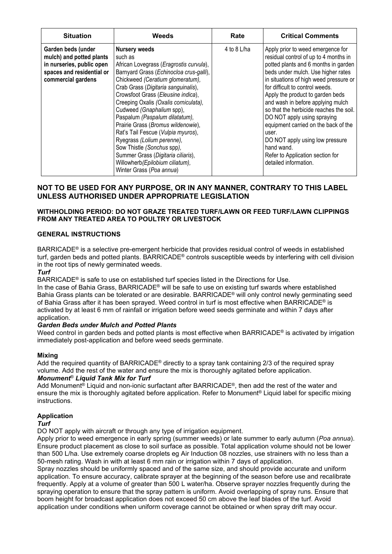| <b>Situation</b>                                                                                                               | Weeds                                                                                                                                                                                                                                                                                                                                                                                                                                                                                                                                                                                       | Rate        | <b>Critical Comments</b>                                                                                                                                                                                                                                                                                                                                                                                                                                                                                                                                |
|--------------------------------------------------------------------------------------------------------------------------------|---------------------------------------------------------------------------------------------------------------------------------------------------------------------------------------------------------------------------------------------------------------------------------------------------------------------------------------------------------------------------------------------------------------------------------------------------------------------------------------------------------------------------------------------------------------------------------------------|-------------|---------------------------------------------------------------------------------------------------------------------------------------------------------------------------------------------------------------------------------------------------------------------------------------------------------------------------------------------------------------------------------------------------------------------------------------------------------------------------------------------------------------------------------------------------------|
| Garden beds (under<br>mulch) and potted plants<br>in nurseries, public open<br>spaces and residential or<br>commercial gardens | <b>Nursery weeds</b><br>such as<br>African Lovegrass (Eragrostis curvula),<br>Barnyard Grass (Echinocloa crus-galli),<br>Chickweed (Ceratium glomeratum),<br>Crab Grass (Digitaria sanguinalis),<br>Crowsfoot Grass (Eleusine indica),<br>Creeping Oxalis (Oxalis corniculata),<br>Cudweed (Gnaphalium spp),<br>Paspalum (Paspalum dilatatum),<br>Prairie Grass (Bromus wildenowie),<br>Rat's Tail Fescue (Vulpia myuros),<br>Ryegrass (Lolium perenne),<br>Sow Thistle (Sonchus spp),<br>Summer Grass (Digitaria ciliaris),<br>Willowherb(Epilobium ciliatum),<br>Winter Grass (Poa annua) | 4 to 8 L/ha | Apply prior to weed emergence for<br>residual control of up to 4 months in<br>potted plants and 6 months in garden<br>beds under mulch. Use higher rates<br>in situations of high weed pressure or<br>for difficult to control weeds.<br>Apply the product to garden beds<br>and wash in before applying mulch<br>so that the herbicide reaches the soil.<br>DO NOT apply using spraying<br>equipment carried on the back of the<br>user.<br>DO NOT apply using low pressure<br>hand wand.<br>Refer to Application section for<br>detailed information. |

# **NOT TO BE USED FOR ANY PURPOSE, OR IN ANY MANNER, CONTRARY TO THIS LABEL UNLESS AUTHORISED UNDER APPROPRIATE LEGISLATION**

## **WITHHOLDING PERIOD: DO NOT GRAZE TREATED TURF/LAWN OR FEED TURF/LAWN CLIPPINGS FROM ANY TREATED AREA TO POULTRY OR LIVESTOCK**

#### **GENERAL INSTRUCTIONS**

BARRICADE® is a selective pre-emergent herbicide that provides residual control of weeds in established turf, garden beds and potted plants. BARRICADE® controls susceptible weeds by interfering with cell division in the root tips of newly germinated weeds.

#### *Turf*

BARRICADE® is safe to use on established turf species listed in the Directions for Use.

In the case of Bahia Grass, BARRICADE® will be safe to use on existing turf swards where established Bahia Grass plants can be tolerated or are desirable. BARRICADE® will only control newly germinating seed of Bahia Grass after it has been sprayed. Weed control in turf is most effective when BARRICADE® is activated by at least 6 mm of rainfall or irrigation before weed seeds germinate and within 7 days after application.

#### *Garden Beds under Mulch and Potted Plants*

Weed control in garden beds and potted plants is most effective when BARRICADE<sup>®</sup> is activated by irrigation immediately post-application and before weed seeds germinate.

## **Mixing**

Add the required quantity of BARRICADE® directly to a spray tank containing 2/3 of the required spray volume. Add the rest of the water and ensure the mix is thoroughly agitated before application. *Monument*® *Liquid Tank Mix for Turf*

Add Monument<sup>®</sup> Liquid and non-ionic surfactant after BARRICADE<sup>®</sup>, then add the rest of the water and ensure the mix is thoroughly agitated before application. Refer to Monument® Liquid label for specific mixing instructions.

## **Application**

#### *Turf*

DO NOT apply with aircraft or through any type of irrigation equipment.

Apply prior to weed emergence in early spring (summer weeds) or late summer to early autumn (*Poa annua*). Ensure product placement as close to soil surface as possible. Total application volume should not be lower than 500 L/ha. Use extremely coarse droplets eg Air Induction 08 nozzles, use strainers with no less than a 50-mesh rating. Wash in with at least 6 mm rain or irrigation within 7 days of application.

Spray nozzles should be uniformly spaced and of the same size, and should provide accurate and uniform application. To ensure accuracy, calibrate sprayer at the beginning of the season before use and recalibrate frequently. Apply at a volume of greater than 500 L water/ha. Observe sprayer nozzles frequently during the spraying operation to ensure that the spray pattern is uniform. Avoid overlapping of spray runs. Ensure that boom height for broadcast application does not exceed 50 cm above the leaf blades of the turf. Avoid application under conditions when uniform coverage cannot be obtained or when spray drift may occur.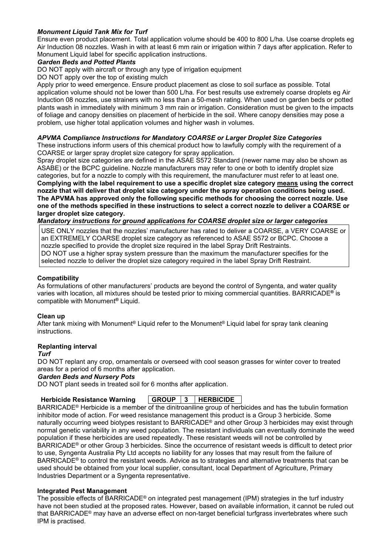## *Monument Liquid Tank Mix for Turf*

Ensure even product placement. Total application volume should be 400 to 800 L/ha. Use coarse droplets eg Air Induction 08 nozzles. Wash in with at least 6 mm rain or irrigation within 7 days after application. Refer to Monument Liquid label for specific application instructions.

#### *Garden Beds and Potted Plants*

DO NOT apply with aircraft or through any type of irrigation equipment

DO NOT apply over the top of existing mulch

Apply prior to weed emergence. Ensure product placement as close to soil surface as possible. Total application volume should not be lower than 500 L/ha. For best results use extremely coarse droplets eg Air Induction 08 nozzles, use strainers with no less than a 50-mesh rating. When used on garden beds or potted plants wash in immediately with minimum 3 mm rain or irrigation. Consideration must be given to the impacts of foliage and canopy densities on placement of herbicide in the soil. Where canopy densities may pose a problem, use higher total application volumes and higher wash in volumes.

#### *APVMA Compliance Instructions for Mandatory COARSE or Larger Droplet Size Categories*

These instructions inform users of this chemical product how to lawfully comply with the requirement of a COARSE or larger spray droplet size category for spray application.

Spray droplet size categories are defined in the ASAE S572 Standard (newer name may also be shown as ASABE) or the BCPC guideline. Nozzle manufacturers may refer to one or both to identify droplet size categories, but for a nozzle to comply with this requirement, the manufacturer must refer to at least one. **Complying with the label requirement to use a specific droplet size category means using the correct nozzle that will deliver that droplet size category under the spray operation conditions being used. The APVMA has approved only the following specific methods for choosing the correct nozzle. Use one of the methods specified in these instructions to select a correct nozzle to deliver a COARSE or larger droplet size category.** 

# *Mandatory instructions for ground applications for COARSE droplet size or larger categories*

USE ONLY nozzles that the nozzles' manufacturer has rated to deliver a COARSE, a VERY COARSE or an EXTREMELY COARSE droplet size category as referenced to ASAE S572 or BCPC. Choose a nozzle specified to provide the droplet size required in the label Spray Drift Restraints. DO NOT use a higher spray system pressure than the maximum the manufacturer specifies for the selected nozzle to deliver the droplet size category required in the label Spray Drift Restraint.

#### **Compatibility**

As formulations of other manufacturers' products are beyond the control of Syngenta, and water quality varies with location, all mixtures should be tested prior to mixing commercial quantities. BARRICADE**®** is compatible with Monument**®** Liquid.

#### **Clean up**

After tank mixing with Monument® Liquid refer to the Monument® Liquid label for spray tank cleaning instructions.

#### **Replanting interval**

*Turf*

DO NOT replant any crop, ornamentals or overseed with cool season grasses for winter cover to treated areas for a period of 6 months after application.

#### *Garden Beds and Nursery Pots*

DO NOT plant seeds in treated soil for 6 months after application.

#### **Herbicide Resistance Warning GROUP 3 HERBICIDE**

BARRICADE® Herbicide is a member of the dinitroaniline group of herbicides and has the tubulin formation inhibitor mode of action. For weed resistance management this product is a Group 3 herbicide. Some naturally occurring weed biotypes resistant to BARRICADE® and other Group 3 herbicides may exist through normal genetic variability in any weed population. The resistant individuals can eventually dominate the weed population if these herbicides are used repeatedly. These resistant weeds will not be controlled by BARRICADE® or other Group 3 herbicides. Since the occurrence of resistant weeds is difficult to detect prior to use, Syngenta Australia Pty Ltd accepts no liability for any losses that may result from the failure of BARRICADE® to control the resistant weeds. Advice as to strategies and alternative treatments that can be used should be obtained from your local supplier, consultant, local Department of Agriculture, Primary Industries Department or a Syngenta representative.

#### **Integrated Pest Management**

The possible effects of BARRICADE® on integrated pest management (IPM) strategies in the turf industry have not been studied at the proposed rates. However, based on available information, it cannot be ruled out that BARRICADE® may have an adverse effect on non-target beneficial turfgrass invertebrates where such IPM is practised.